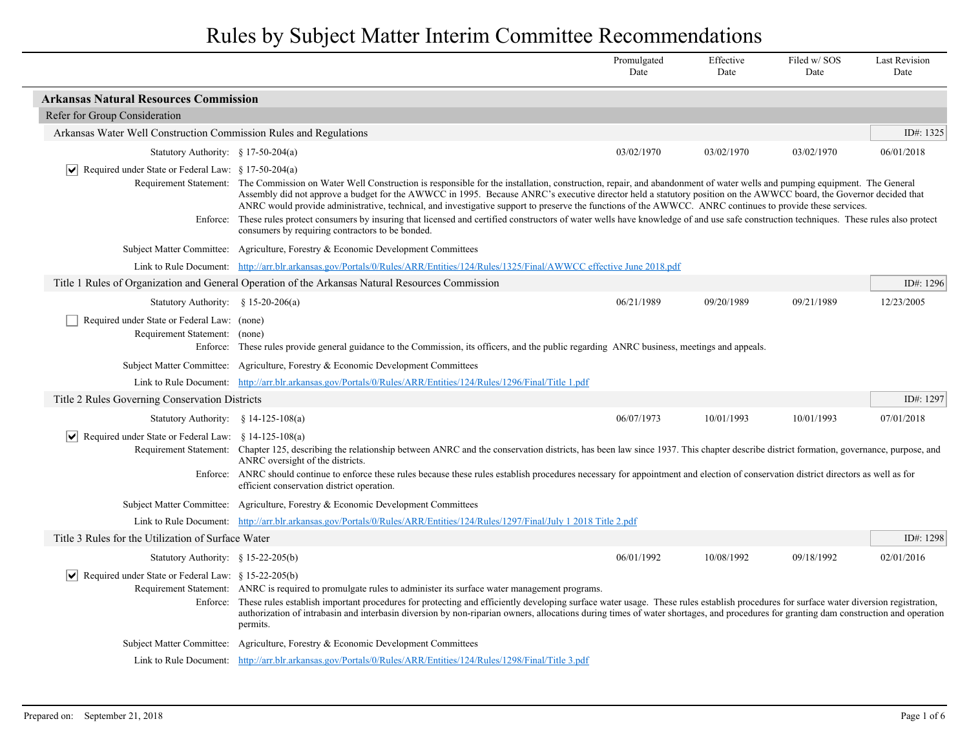|                                                                                                                                                                                                                                                                                                                                                                                                                                                                                                                                                             |                                                                                                                                                                                                                                                                                                                                                                                                                                                                                                                                                                                             | Promulgated<br>Date                                                                                                                                                                | Effective<br>Date | Filed w/SOS<br>Date | <b>Last Revision</b><br>Date |  |
|-------------------------------------------------------------------------------------------------------------------------------------------------------------------------------------------------------------------------------------------------------------------------------------------------------------------------------------------------------------------------------------------------------------------------------------------------------------------------------------------------------------------------------------------------------------|---------------------------------------------------------------------------------------------------------------------------------------------------------------------------------------------------------------------------------------------------------------------------------------------------------------------------------------------------------------------------------------------------------------------------------------------------------------------------------------------------------------------------------------------------------------------------------------------|------------------------------------------------------------------------------------------------------------------------------------------------------------------------------------|-------------------|---------------------|------------------------------|--|
| <b>Arkansas Natural Resources Commission</b>                                                                                                                                                                                                                                                                                                                                                                                                                                                                                                                |                                                                                                                                                                                                                                                                                                                                                                                                                                                                                                                                                                                             |                                                                                                                                                                                    |                   |                     |                              |  |
| Refer for Group Consideration                                                                                                                                                                                                                                                                                                                                                                                                                                                                                                                               |                                                                                                                                                                                                                                                                                                                                                                                                                                                                                                                                                                                             |                                                                                                                                                                                    |                   |                     |                              |  |
| Arkansas Water Well Construction Commission Rules and Regulations                                                                                                                                                                                                                                                                                                                                                                                                                                                                                           |                                                                                                                                                                                                                                                                                                                                                                                                                                                                                                                                                                                             |                                                                                                                                                                                    |                   |                     | ID#: 1325                    |  |
| Statutory Authority: $§ 17-50-204(a)$                                                                                                                                                                                                                                                                                                                                                                                                                                                                                                                       |                                                                                                                                                                                                                                                                                                                                                                                                                                                                                                                                                                                             | 03/02/1970                                                                                                                                                                         | 03/02/1970        | 03/02/1970          | 06/01/2018                   |  |
| $ \mathbf{v} $ Required under State or Federal Law: § 17-50-204(a)                                                                                                                                                                                                                                                                                                                                                                                                                                                                                          |                                                                                                                                                                                                                                                                                                                                                                                                                                                                                                                                                                                             |                                                                                                                                                                                    |                   |                     |                              |  |
|                                                                                                                                                                                                                                                                                                                                                                                                                                                                                                                                                             | Requirement Statement: The Commission on Water Well Construction is responsible for the installation, construction, repair, and abandonment of water wells and pumping equipment. The General<br>Assembly did not approve a budget for the AWWCC in 1995. Because ANRC's executive director held a statutory position on the AWWCC board, the Governor decided that<br>ANRC would provide administrative, technical, and investigative support to preserve the functions of the AWWCC. ANRC continues to provide these services.                                                            |                                                                                                                                                                                    |                   |                     |                              |  |
| Enforce:                                                                                                                                                                                                                                                                                                                                                                                                                                                                                                                                                    | consumers by requiring contractors to be bonded.                                                                                                                                                                                                                                                                                                                                                                                                                                                                                                                                            | These rules protect consumers by insuring that licensed and certified constructors of water wells have knowledge of and use safe construction techniques. These rules also protect |                   |                     |                              |  |
|                                                                                                                                                                                                                                                                                                                                                                                                                                                                                                                                                             | Subject Matter Committee: Agriculture, Forestry & Economic Development Committees                                                                                                                                                                                                                                                                                                                                                                                                                                                                                                           |                                                                                                                                                                                    |                   |                     |                              |  |
|                                                                                                                                                                                                                                                                                                                                                                                                                                                                                                                                                             | Link to Rule Document: http://arr.blr.arkansas.gov/Portals/0/Rules/ARR/Entities/124/Rules/1325/Final/AWWCC effective June 2018.pdf                                                                                                                                                                                                                                                                                                                                                                                                                                                          |                                                                                                                                                                                    |                   |                     |                              |  |
|                                                                                                                                                                                                                                                                                                                                                                                                                                                                                                                                                             | Title 1 Rules of Organization and General Operation of the Arkansas Natural Resources Commission                                                                                                                                                                                                                                                                                                                                                                                                                                                                                            |                                                                                                                                                                                    |                   |                     | ID#: 1296                    |  |
| Statutory Authority: $\frac{1}{2}$ 15-20-206(a)                                                                                                                                                                                                                                                                                                                                                                                                                                                                                                             |                                                                                                                                                                                                                                                                                                                                                                                                                                                                                                                                                                                             | 06/21/1989                                                                                                                                                                         | 09/20/1989        | 09/21/1989          | 12/23/2005                   |  |
| Required under State or Federal Law: (none)<br>Requirement Statement: (none)                                                                                                                                                                                                                                                                                                                                                                                                                                                                                | Enforce: These rules provide general guidance to the Commission, its officers, and the public regarding ANRC business, meetings and appeals.                                                                                                                                                                                                                                                                                                                                                                                                                                                |                                                                                                                                                                                    |                   |                     |                              |  |
| Subject Matter Committee: Agriculture, Forestry & Economic Development Committees                                                                                                                                                                                                                                                                                                                                                                                                                                                                           |                                                                                                                                                                                                                                                                                                                                                                                                                                                                                                                                                                                             |                                                                                                                                                                                    |                   |                     |                              |  |
| Link to Rule Document: http://arr.blr.arkansas.gov/Portals/0/Rules/ARR/Entities/124/Rules/1296/Final/Title 1.pdf<br>Title 2 Rules Governing Conservation Districts                                                                                                                                                                                                                                                                                                                                                                                          |                                                                                                                                                                                                                                                                                                                                                                                                                                                                                                                                                                                             |                                                                                                                                                                                    |                   |                     |                              |  |
|                                                                                                                                                                                                                                                                                                                                                                                                                                                                                                                                                             |                                                                                                                                                                                                                                                                                                                                                                                                                                                                                                                                                                                             |                                                                                                                                                                                    |                   |                     | ID#: 1297                    |  |
| Statutory Authority: $\S$ 14-125-108(a)                                                                                                                                                                                                                                                                                                                                                                                                                                                                                                                     |                                                                                                                                                                                                                                                                                                                                                                                                                                                                                                                                                                                             | 06/07/1973                                                                                                                                                                         | 10/01/1993        | 10/01/1993          | 07/01/2018                   |  |
| $ \mathbf{v} $ Required under State or Federal Law: § 14-125-108(a)<br>Requirement Statement: Chapter 125, describing the relationship between ANRC and the conservation districts, has been law since 1937. This chapter describe district formation, governance, purpose, and<br>ANRC oversight of the districts.<br>Enforce: ANRC should continue to enforce these rules because these rules establish procedures necessary for appointment and election of conservation district directors as well as for<br>efficient conservation district operation. |                                                                                                                                                                                                                                                                                                                                                                                                                                                                                                                                                                                             |                                                                                                                                                                                    |                   |                     |                              |  |
|                                                                                                                                                                                                                                                                                                                                                                                                                                                                                                                                                             |                                                                                                                                                                                                                                                                                                                                                                                                                                                                                                                                                                                             |                                                                                                                                                                                    |                   |                     |                              |  |
|                                                                                                                                                                                                                                                                                                                                                                                                                                                                                                                                                             | Subject Matter Committee: Agriculture, Forestry & Economic Development Committees                                                                                                                                                                                                                                                                                                                                                                                                                                                                                                           |                                                                                                                                                                                    |                   |                     |                              |  |
|                                                                                                                                                                                                                                                                                                                                                                                                                                                                                                                                                             | Link to Rule Document: http://arr.blr.arkansas.gov/Portals/0/Rules/ARR/Entities/124/Rules/1297/Final/July 1 2018 Title 2.pdf                                                                                                                                                                                                                                                                                                                                                                                                                                                                |                                                                                                                                                                                    |                   |                     |                              |  |
| Title 3 Rules for the Utilization of Surface Water                                                                                                                                                                                                                                                                                                                                                                                                                                                                                                          |                                                                                                                                                                                                                                                                                                                                                                                                                                                                                                                                                                                             |                                                                                                                                                                                    |                   |                     | ID#: 1298                    |  |
| Statutory Authority: § 15-22-205(b)                                                                                                                                                                                                                                                                                                                                                                                                                                                                                                                         |                                                                                                                                                                                                                                                                                                                                                                                                                                                                                                                                                                                             | 06/01/1992                                                                                                                                                                         | 10/08/1992        | 09/18/1992          | 02/01/2016                   |  |
|                                                                                                                                                                                                                                                                                                                                                                                                                                                                                                                                                             | $ \mathbf{v} $ Required under State or Federal Law: § 15-22-205(b)<br>Requirement Statement: ANRC is required to promulgate rules to administer its surface water management programs.<br>Enforce: These rules establish important procedures for protecting and efficiently developing surface water usage. These rules establish procedures for surface water diversion registration,<br>authorization of intrabasin and interbasin diversion by non-riparian owners, allocations during times of water shortages, and procedures for granting dam construction and operation<br>permits. |                                                                                                                                                                                    |                   |                     |                              |  |
|                                                                                                                                                                                                                                                                                                                                                                                                                                                                                                                                                             | Subject Matter Committee: Agriculture, Forestry & Economic Development Committees                                                                                                                                                                                                                                                                                                                                                                                                                                                                                                           |                                                                                                                                                                                    |                   |                     |                              |  |
|                                                                                                                                                                                                                                                                                                                                                                                                                                                                                                                                                             | Link to Rule Document: http://arr.blr.arkansas.gov/Portals/0/Rules/ARR/Entities/124/Rules/1298/Final/Title 3.pdf                                                                                                                                                                                                                                                                                                                                                                                                                                                                            |                                                                                                                                                                                    |                   |                     |                              |  |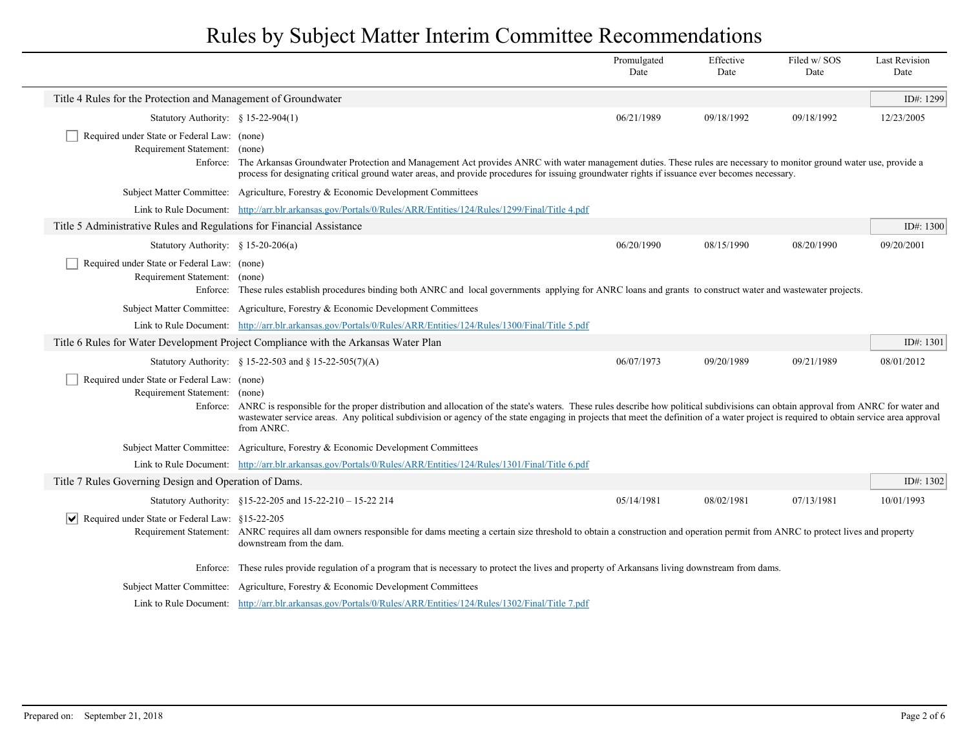|                                                                              |                                                                                                                                                                                                                                                                                                                                                                                                                                                                                                         | Promulgated<br>Date | Effective<br>Date | Filed w/SOS<br>Date | <b>Last Revision</b><br>Date |  |
|------------------------------------------------------------------------------|---------------------------------------------------------------------------------------------------------------------------------------------------------------------------------------------------------------------------------------------------------------------------------------------------------------------------------------------------------------------------------------------------------------------------------------------------------------------------------------------------------|---------------------|-------------------|---------------------|------------------------------|--|
| Title 4 Rules for the Protection and Management of Groundwater               |                                                                                                                                                                                                                                                                                                                                                                                                                                                                                                         |                     |                   |                     | ID#: 1299                    |  |
| Statutory Authority: $§ 15-22-904(1)$                                        |                                                                                                                                                                                                                                                                                                                                                                                                                                                                                                         | 06/21/1989          | 09/18/1992        | 09/18/1992          | 12/23/2005                   |  |
| Required under State or Federal Law: (none)<br>Requirement Statement:        | (none)<br>Enforce: The Arkansas Groundwater Protection and Management Act provides ANRC with water management duties. These rules are necessary to monitor ground water use, provide a<br>process for designating critical ground water areas, and provide procedures for issuing groundwater rights if issuance ever becomes necessary.                                                                                                                                                                |                     |                   |                     |                              |  |
|                                                                              | Subject Matter Committee: Agriculture, Forestry & Economic Development Committees                                                                                                                                                                                                                                                                                                                                                                                                                       |                     |                   |                     |                              |  |
|                                                                              | Link to Rule Document: http://arr.blr.arkansas.gov/Portals/0/Rules/ARR/Entities/124/Rules/1299/Final/Title 4.pdf                                                                                                                                                                                                                                                                                                                                                                                        |                     |                   |                     |                              |  |
| Title 5 Administrative Rules and Regulations for Financial Assistance        |                                                                                                                                                                                                                                                                                                                                                                                                                                                                                                         |                     |                   |                     | ID#: $1300$                  |  |
| Statutory Authority: § 15-20-206(a)                                          |                                                                                                                                                                                                                                                                                                                                                                                                                                                                                                         | 06/20/1990          | 08/15/1990        | 08/20/1990          | 09/20/2001                   |  |
| Required under State or Federal Law: (none)<br>Requirement Statement: (none) | Enforce: These rules establish procedures binding both ANRC and local governments applying for ANRC loans and grants to construct water and wastewater projects.<br>Subject Matter Committee: Agriculture, Forestry & Economic Development Committees                                                                                                                                                                                                                                                   |                     |                   |                     |                              |  |
|                                                                              | Link to Rule Document: http://arr.blr.arkansas.gov/Portals/0/Rules/ARR/Entities/124/Rules/1300/Final/Title 5.pdf<br>Title 6 Rules for Water Development Project Compliance with the Arkansas Water Plan                                                                                                                                                                                                                                                                                                 |                     |                   |                     | ID#: $1301$                  |  |
|                                                                              |                                                                                                                                                                                                                                                                                                                                                                                                                                                                                                         |                     |                   |                     | 08/01/2012                   |  |
| Required under State or Federal Law: (none)<br>Requirement Statement: (none) | 06/07/1973<br>09/20/1989<br>09/21/1989<br>Statutory Authority: § 15-22-503 and § 15-22-505(7)(A)<br>Enforce: ANRC is responsible for the proper distribution and allocation of the state's waters. These rules describe how political subdivisions can obtain approval from ANRC for water and<br>wastewater service areas. Any political subdivision or agency of the state engaging in projects that meet the definition of a water project is required to obtain service area approval<br>from ANRC. |                     |                   |                     |                              |  |
|                                                                              | Subject Matter Committee: Agriculture, Forestry & Economic Development Committees                                                                                                                                                                                                                                                                                                                                                                                                                       |                     |                   |                     |                              |  |
|                                                                              | Link to Rule Document: http://arr.blr.arkansas.gov/Portals/0/Rules/ARR/Entities/124/Rules/1301/Final/Title 6.pdf                                                                                                                                                                                                                                                                                                                                                                                        |                     |                   |                     |                              |  |
| Title 7 Rules Governing Design and Operation of Dams.                        |                                                                                                                                                                                                                                                                                                                                                                                                                                                                                                         |                     |                   |                     | ID#: 1302                    |  |
|                                                                              | Statutory Authority: §15-22-205 and 15-22-210 - 15-22 214                                                                                                                                                                                                                                                                                                                                                                                                                                               | 05/14/1981          | 08/02/1981        | 07/13/1981          | 10/01/1993                   |  |
| $ \mathbf{v} $ Required under State or Federal Law: §15-22-205               | Requirement Statement: ANRC requires all dam owners responsible for dams meeting a certain size threshold to obtain a construction and operation permit from ANRC to protect lives and property<br>downstream from the dam.                                                                                                                                                                                                                                                                             |                     |                   |                     |                              |  |
|                                                                              | Enforce: These rules provide regulation of a program that is necessary to protect the lives and property of Arkansans living downstream from dams.                                                                                                                                                                                                                                                                                                                                                      |                     |                   |                     |                              |  |
|                                                                              | Subject Matter Committee: Agriculture, Forestry & Economic Development Committees                                                                                                                                                                                                                                                                                                                                                                                                                       |                     |                   |                     |                              |  |
|                                                                              | Link to Rule Document: http://arr.blr.arkansas.gov/Portals/0/Rules/ARR/Entities/124/Rules/1302/Final/Title 7.pdf                                                                                                                                                                                                                                                                                                                                                                                        |                     |                   |                     |                              |  |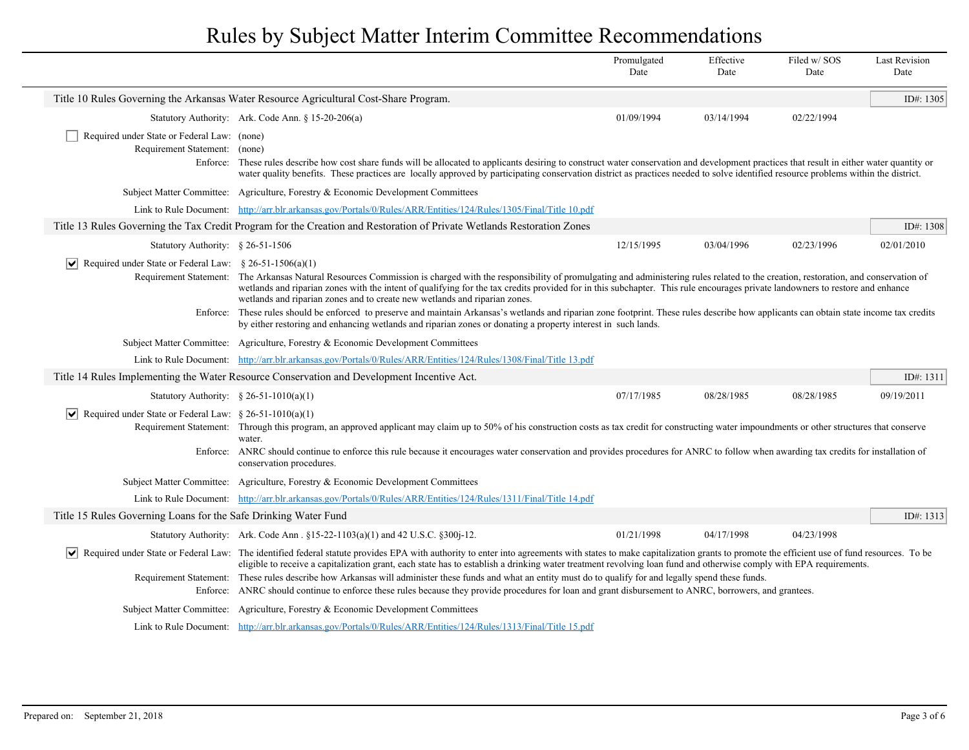|                                                                              |                                                                                                                                                                                                                                                                                                                                                                                                                                                                                                                                                                                                                                                                                                                                                                                   | Promulgated<br>Date | Effective<br>Date | Filed w/SOS<br>Date | <b>Last Revision</b><br>Date |
|------------------------------------------------------------------------------|-----------------------------------------------------------------------------------------------------------------------------------------------------------------------------------------------------------------------------------------------------------------------------------------------------------------------------------------------------------------------------------------------------------------------------------------------------------------------------------------------------------------------------------------------------------------------------------------------------------------------------------------------------------------------------------------------------------------------------------------------------------------------------------|---------------------|-------------------|---------------------|------------------------------|
|                                                                              | Title 10 Rules Governing the Arkansas Water Resource Agricultural Cost-Share Program.                                                                                                                                                                                                                                                                                                                                                                                                                                                                                                                                                                                                                                                                                             |                     |                   |                     | ID#: 1305                    |
|                                                                              | Statutory Authority: Ark. Code Ann. § 15-20-206(a)                                                                                                                                                                                                                                                                                                                                                                                                                                                                                                                                                                                                                                                                                                                                | 01/09/1994          | 03/14/1994        | 02/22/1994          |                              |
| Required under State or Federal Law: (none)<br>Requirement Statement: (none) | Enforce: These rules describe how cost share funds will be allocated to applicants desiring to construct water conservation and development practices that result in either water quantity or<br>water quality benefits. These practices are locally approved by participating conservation district as practices needed to solve identified resource problems within the district.                                                                                                                                                                                                                                                                                                                                                                                               |                     |                   |                     |                              |
|                                                                              | Subject Matter Committee: Agriculture, Forestry & Economic Development Committees                                                                                                                                                                                                                                                                                                                                                                                                                                                                                                                                                                                                                                                                                                 |                     |                   |                     |                              |
|                                                                              | Link to Rule Document: http://arr.blr.arkansas.gov/Portals/0/Rules/ARR/Entities/124/Rules/1305/Final/Title 10.pdf                                                                                                                                                                                                                                                                                                                                                                                                                                                                                                                                                                                                                                                                 |                     |                   |                     |                              |
|                                                                              | Title 13 Rules Governing the Tax Credit Program for the Creation and Restoration of Private Wetlands Restoration Zones                                                                                                                                                                                                                                                                                                                                                                                                                                                                                                                                                                                                                                                            |                     |                   |                     | ID#: $1308$                  |
| Statutory Authority: $§ 26-51-1506$                                          |                                                                                                                                                                                                                                                                                                                                                                                                                                                                                                                                                                                                                                                                                                                                                                                   | 12/15/1995          | 03/04/1996        | 02/23/1996          | 02/01/2010                   |
| Required under State or Federal Law: $\S 26-51-1506(a)(1)$                   | Requirement Statement: The Arkansas Natural Resources Commission is charged with the responsibility of promulgating and administering rules related to the creation, restoration, and conservation of<br>wetlands and riparian zones with the intent of qualifying for the tax credits provided for in this subchapter. This rule encourages private landowners to restore and enhance<br>wetlands and riparian zones and to create new wetlands and riparian zones.<br>Enforce: These rules should be enforced to preserve and maintain Arkansas's wetlands and riparian zone footprint. These rules describe how applicants can obtain state income tax credits<br>by either restoring and enhancing wetlands and riparian zones or donating a property interest in such lands. |                     |                   |                     |                              |
|                                                                              | Subject Matter Committee: Agriculture, Forestry & Economic Development Committees                                                                                                                                                                                                                                                                                                                                                                                                                                                                                                                                                                                                                                                                                                 |                     |                   |                     |                              |
|                                                                              | Link to Rule Document: http://arr.blr.arkansas.gov/Portals/0/Rules/ARR/Entities/124/Rules/1308/Final/Title 13.pdf                                                                                                                                                                                                                                                                                                                                                                                                                                                                                                                                                                                                                                                                 |                     |                   |                     |                              |
|                                                                              | Title 14 Rules Implementing the Water Resource Conservation and Development Incentive Act.                                                                                                                                                                                                                                                                                                                                                                                                                                                                                                                                                                                                                                                                                        |                     |                   |                     | ID#: 1311                    |
| Statutory Authority: $\frac{6}{5}$ 26-51-1010(a)(1)                          |                                                                                                                                                                                                                                                                                                                                                                                                                                                                                                                                                                                                                                                                                                                                                                                   | 07/17/1985          | 08/28/1985        | 08/28/1985          | 09/19/2011                   |
| Required under State or Federal Law: $\S 26-51-1010(a)(1)$                   | Requirement Statement: Through this program, an approved applicant may claim up to 50% of his construction costs as tax credit for constructing water impoundments or other structures that conserve<br>water.<br>Enforce: ANRC should continue to enforce this rule because it encourages water conservation and provides procedures for ANRC to follow when awarding tax credits for installation of<br>conservation procedures.                                                                                                                                                                                                                                                                                                                                                |                     |                   |                     |                              |
|                                                                              | Subject Matter Committee: Agriculture, Forestry & Economic Development Committees                                                                                                                                                                                                                                                                                                                                                                                                                                                                                                                                                                                                                                                                                                 |                     |                   |                     |                              |
|                                                                              | Link to Rule Document: http://arr.blr.arkansas.gov/Portals/0/Rules/ARR/Entities/124/Rules/1311/Final/Title 14.pdf                                                                                                                                                                                                                                                                                                                                                                                                                                                                                                                                                                                                                                                                 |                     |                   |                     |                              |
| Title 15 Rules Governing Loans for the Safe Drinking Water Fund              |                                                                                                                                                                                                                                                                                                                                                                                                                                                                                                                                                                                                                                                                                                                                                                                   |                     |                   |                     | ID#: 1313                    |
|                                                                              | Statutory Authority: Ark. Code Ann. §15-22-1103(a)(1) and 42 U.S.C. §300j-12.                                                                                                                                                                                                                                                                                                                                                                                                                                                                                                                                                                                                                                                                                                     | 01/21/1998          | 04/17/1998        | 04/23/1998          |                              |
| Enforce:                                                                     | Required under State or Federal Law: The identified federal statute provides EPA with authority to enter into agreements with states to make capitalization grants to promote the efficient use of fund resources. To be<br>eligible to receive a capitalization grant, each state has to establish a drinking water treatment revolving loan fund and otherwise comply with EPA requirements.<br>Requirement Statement: These rules describe how Arkansas will administer these funds and what an entity must do to qualify for and legally spend these funds.<br>ANRC should continue to enforce these rules because they provide procedures for loan and grant disbursement to ANRC, borrowers, and grantees.                                                                  |                     |                   |                     |                              |
|                                                                              | Subject Matter Committee: Agriculture, Forestry & Economic Development Committees                                                                                                                                                                                                                                                                                                                                                                                                                                                                                                                                                                                                                                                                                                 |                     |                   |                     |                              |
|                                                                              | Link to Rule Document: http://arr.blr.arkansas.gov/Portals/0/Rules/ARR/Entities/124/Rules/1313/Final/Title 15.pdf                                                                                                                                                                                                                                                                                                                                                                                                                                                                                                                                                                                                                                                                 |                     |                   |                     |                              |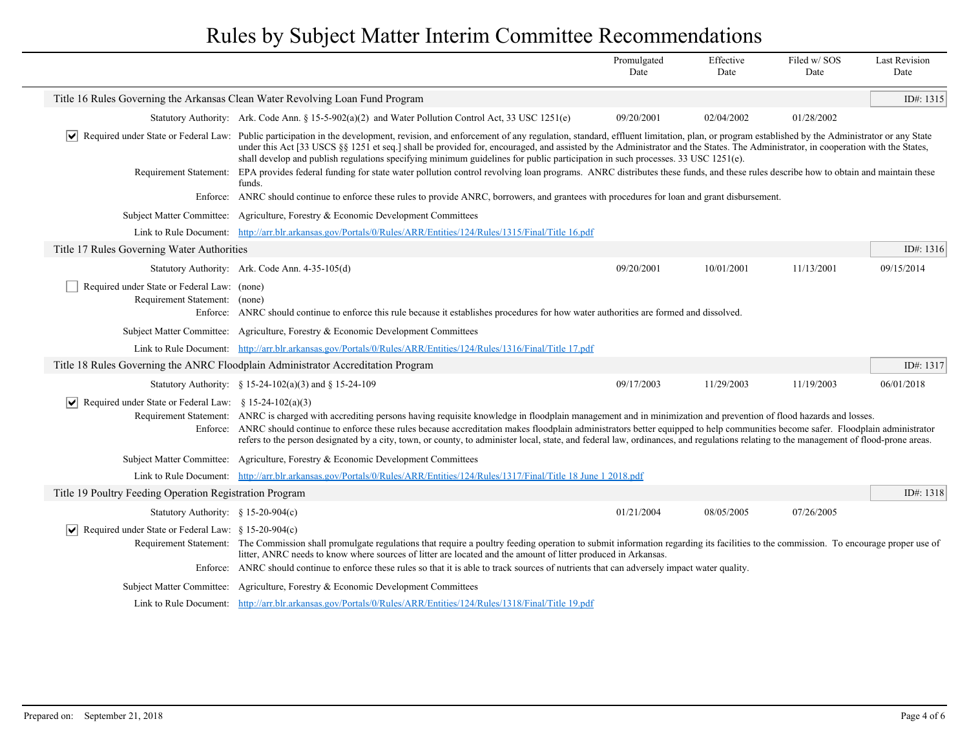|                                                                              |                                                                                                                                                                                                                                                                                                                                                                                                                                                                                                                                                                       | Promulgated<br>Date | Effective<br>Date | Filed w/SOS<br>Date | <b>Last Revision</b><br>Date |
|------------------------------------------------------------------------------|-----------------------------------------------------------------------------------------------------------------------------------------------------------------------------------------------------------------------------------------------------------------------------------------------------------------------------------------------------------------------------------------------------------------------------------------------------------------------------------------------------------------------------------------------------------------------|---------------------|-------------------|---------------------|------------------------------|
|                                                                              | Title 16 Rules Governing the Arkansas Clean Water Revolving Loan Fund Program                                                                                                                                                                                                                                                                                                                                                                                                                                                                                         |                     |                   |                     | ID#: 1315                    |
|                                                                              | Statutory Authority: Ark. Code Ann. § 15-5-902(a)(2) and Water Pollution Control Act, 33 USC 1251(e)                                                                                                                                                                                                                                                                                                                                                                                                                                                                  | 09/20/2001          | 02/04/2002        | 01/28/2002          |                              |
|                                                                              | Required under State or Federal Law: Public participation in the development, revision, and enforcement of any regulation, standard, effluent limitation, plan, or program established by the Administrator or any State<br>under this Act [33 USCS §§ 1251 et seq.] shall be provided for, encouraged, and assisted by the Administrator and the States. The Administrator, in cooperation with the States,<br>shall develop and publish regulations specifying minimum guidelines for public participation in such processes. 33 USC 1251(e).                       |                     |                   |                     |                              |
| Requirement Statement:                                                       | EPA provides federal funding for state water pollution control revolving loan programs. ANRC distributes these funds, and these rules describe how to obtain and maintain these<br>funds.                                                                                                                                                                                                                                                                                                                                                                             |                     |                   |                     |                              |
|                                                                              | Enforce: ANRC should continue to enforce these rules to provide ANRC, borrowers, and grantees with procedures for loan and grant disbursement.                                                                                                                                                                                                                                                                                                                                                                                                                        |                     |                   |                     |                              |
|                                                                              | Subject Matter Committee: Agriculture, Forestry & Economic Development Committees                                                                                                                                                                                                                                                                                                                                                                                                                                                                                     |                     |                   |                     |                              |
|                                                                              | Link to Rule Document: http://arr.blr.arkansas.gov/Portals/0/Rules/ARR/Entities/124/Rules/1315/Final/Title 16.pdf                                                                                                                                                                                                                                                                                                                                                                                                                                                     |                     |                   |                     |                              |
| Title 17 Rules Governing Water Authorities                                   |                                                                                                                                                                                                                                                                                                                                                                                                                                                                                                                                                                       |                     |                   |                     | ID#: $1316$                  |
|                                                                              | Statutory Authority: Ark. Code Ann. 4-35-105(d)                                                                                                                                                                                                                                                                                                                                                                                                                                                                                                                       | 09/20/2001          | 10/01/2001        | 11/13/2001          | 09/15/2014                   |
| Required under State or Federal Law: (none)<br>Requirement Statement: (none) | Enforce: ANRC should continue to enforce this rule because it establishes procedures for how water authorities are formed and dissolved.                                                                                                                                                                                                                                                                                                                                                                                                                              |                     |                   |                     |                              |
|                                                                              | Subject Matter Committee: Agriculture, Forestry & Economic Development Committees                                                                                                                                                                                                                                                                                                                                                                                                                                                                                     |                     |                   |                     |                              |
|                                                                              | Link to Rule Document: http://arr.blr.arkansas.gov/Portals/0/Rules/ARR/Entities/124/Rules/1316/Final/Title 17.pdf                                                                                                                                                                                                                                                                                                                                                                                                                                                     |                     |                   |                     |                              |
|                                                                              | Title 18 Rules Governing the ANRC Floodplain Administrator Accreditation Program                                                                                                                                                                                                                                                                                                                                                                                                                                                                                      |                     |                   |                     | ID#: 1317                    |
|                                                                              | Statutory Authority: $\frac{8}{9}$ 15-24-102(a)(3) and § 15-24-109                                                                                                                                                                                                                                                                                                                                                                                                                                                                                                    | 09/17/2003          | 11/29/2003        | 11/19/2003          | 06/01/2018                   |
| Required under State or Federal Law: $\S 15-24-102(a)(3)$                    | Requirement Statement: ANRC is charged with accrediting persons having requisite knowledge in floodplain management and in minimization and prevention of flood hazards and losses.<br>Enforce: ANRC should continue to enforce these rules because accreditation makes floodplain administrators better equipped to help communities become safer. Floodplain administrator<br>refers to the person designated by a city, town, or county, to administer local, state, and federal law, ordinances, and regulations relating to the management of flood-prone areas. |                     |                   |                     |                              |
|                                                                              | Subject Matter Committee: Agriculture, Forestry & Economic Development Committees                                                                                                                                                                                                                                                                                                                                                                                                                                                                                     |                     |                   |                     |                              |
|                                                                              | Link to Rule Document: http://arr.blr.arkansas.gov/Portals/0/Rules/ARR/Entities/124/Rules/1317/Final/Title 18 June 1 2018.pdf                                                                                                                                                                                                                                                                                                                                                                                                                                         |                     |                   |                     |                              |
| Title 19 Poultry Feeding Operation Registration Program                      |                                                                                                                                                                                                                                                                                                                                                                                                                                                                                                                                                                       |                     |                   |                     | ID#: 1318                    |
| Statutory Authority: $§ 15-20-904(c)$                                        |                                                                                                                                                                                                                                                                                                                                                                                                                                                                                                                                                                       | 01/21/2004          | 08/05/2005        | 07/26/2005          |                              |
| $ \mathbf{v} $ Required under State or Federal Law: § 15-20-904(c)           | Requirement Statement: The Commission shall promulgate regulations that require a poultry feeding operation to submit information regarding its facilities to the commission. To encourage proper use of<br>litter, ANRC needs to know where sources of litter are located and the amount of litter produced in Arkansas.                                                                                                                                                                                                                                             |                     |                   |                     |                              |
|                                                                              | Enforce: ANRC should continue to enforce these rules so that it is able to track sources of nutrients that can adversely impact water quality.                                                                                                                                                                                                                                                                                                                                                                                                                        |                     |                   |                     |                              |
|                                                                              | Subject Matter Committee: Agriculture, Forestry & Economic Development Committees                                                                                                                                                                                                                                                                                                                                                                                                                                                                                     |                     |                   |                     |                              |
|                                                                              | Link to Rule Document: http://arr.blr.arkansas.gov/Portals/0/Rules/ARR/Entities/124/Rules/1318/Final/Title 19.pdf                                                                                                                                                                                                                                                                                                                                                                                                                                                     |                     |                   |                     |                              |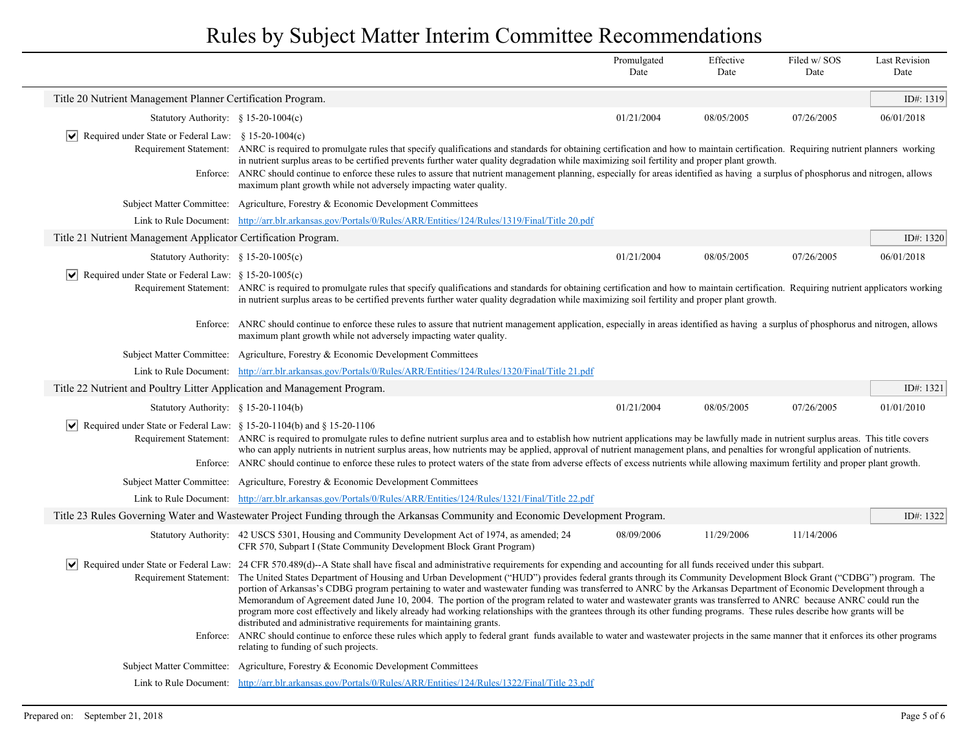|                                                                             |                                                                                                                                                                                                                                                                                                                                                                                                                                                                                                                                                                                                                                                                                                                                                                                                                                                                                                                                                              | Promulgated<br>Date | Effective<br>Date | Filed w/SOS<br>Date | <b>Last Revision</b><br>Date |  |
|-----------------------------------------------------------------------------|--------------------------------------------------------------------------------------------------------------------------------------------------------------------------------------------------------------------------------------------------------------------------------------------------------------------------------------------------------------------------------------------------------------------------------------------------------------------------------------------------------------------------------------------------------------------------------------------------------------------------------------------------------------------------------------------------------------------------------------------------------------------------------------------------------------------------------------------------------------------------------------------------------------------------------------------------------------|---------------------|-------------------|---------------------|------------------------------|--|
| Title 20 Nutrient Management Planner Certification Program.                 |                                                                                                                                                                                                                                                                                                                                                                                                                                                                                                                                                                                                                                                                                                                                                                                                                                                                                                                                                              |                     |                   |                     | ID#: 1319                    |  |
| Statutory Authority: $$15-20-1004(c)$                                       |                                                                                                                                                                                                                                                                                                                                                                                                                                                                                                                                                                                                                                                                                                                                                                                                                                                                                                                                                              | 01/21/2004          | 08/05/2005        | 07/26/2005          | 06/01/2018                   |  |
| $ \mathbf{v} $ Required under State or Federal Law: § 15-20-1004(c)         |                                                                                                                                                                                                                                                                                                                                                                                                                                                                                                                                                                                                                                                                                                                                                                                                                                                                                                                                                              |                     |                   |                     |                              |  |
|                                                                             | Requirement Statement: ANRC is required to promulgate rules that specify qualifications and standards for obtaining certification and how to maintain certification. Requiring nutrient planners working<br>in nutrient surplus areas to be certified prevents further water quality degradation while maximizing soil fertility and proper plant growth.                                                                                                                                                                                                                                                                                                                                                                                                                                                                                                                                                                                                    |                     |                   |                     |                              |  |
|                                                                             | Enforce: ANRC should continue to enforce these rules to assure that nutrient management planning, especially for areas identified as having a surplus of phosphorus and nitrogen, allows<br>maximum plant growth while not adversely impacting water quality.                                                                                                                                                                                                                                                                                                                                                                                                                                                                                                                                                                                                                                                                                                |                     |                   |                     |                              |  |
|                                                                             | Subject Matter Committee: Agriculture, Forestry & Economic Development Committees                                                                                                                                                                                                                                                                                                                                                                                                                                                                                                                                                                                                                                                                                                                                                                                                                                                                            |                     |                   |                     |                              |  |
|                                                                             | Link to Rule Document: http://arr.blr.arkansas.gov/Portals/0/Rules/ARR/Entities/124/Rules/1319/Final/Title 20.pdf                                                                                                                                                                                                                                                                                                                                                                                                                                                                                                                                                                                                                                                                                                                                                                                                                                            |                     |                   |                     |                              |  |
| Title 21 Nutrient Management Applicator Certification Program.              |                                                                                                                                                                                                                                                                                                                                                                                                                                                                                                                                                                                                                                                                                                                                                                                                                                                                                                                                                              |                     |                   |                     | ID#: $1320$                  |  |
| Statutory Authority: $§ 15-20-1005(c)$                                      |                                                                                                                                                                                                                                                                                                                                                                                                                                                                                                                                                                                                                                                                                                                                                                                                                                                                                                                                                              | 01/21/2004          | 08/05/2005        | 07/26/2005          | 06/01/2018                   |  |
| $ \bm{\mathsf{v}} $<br>Required under State or Federal Law: § 15-20-1005(c) |                                                                                                                                                                                                                                                                                                                                                                                                                                                                                                                                                                                                                                                                                                                                                                                                                                                                                                                                                              |                     |                   |                     |                              |  |
|                                                                             | Requirement Statement: ANRC is required to promulgate rules that specify qualifications and standards for obtaining certification and how to maintain certification. Requiring nutrient applicators working<br>in nutrient surplus areas to be certified prevents further water quality degradation while maximizing soil fertility and proper plant growth.                                                                                                                                                                                                                                                                                                                                                                                                                                                                                                                                                                                                 |                     |                   |                     |                              |  |
|                                                                             | Enforce: ANRC should continue to enforce these rules to assure that nutrient management application, especially in areas identified as having a surplus of phosphorus and nitrogen, allows<br>maximum plant growth while not adversely impacting water quality.                                                                                                                                                                                                                                                                                                                                                                                                                                                                                                                                                                                                                                                                                              |                     |                   |                     |                              |  |
|                                                                             | Subject Matter Committee: Agriculture, Forestry & Economic Development Committees                                                                                                                                                                                                                                                                                                                                                                                                                                                                                                                                                                                                                                                                                                                                                                                                                                                                            |                     |                   |                     |                              |  |
|                                                                             | Link to Rule Document: http://arr.blr.arkansas.gov/Portals/0/Rules/ARR/Entities/124/Rules/1320/Final/Title 21.pdf                                                                                                                                                                                                                                                                                                                                                                                                                                                                                                                                                                                                                                                                                                                                                                                                                                            |                     |                   |                     |                              |  |
| Title 22 Nutrient and Poultry Litter Application and Management Program.    |                                                                                                                                                                                                                                                                                                                                                                                                                                                                                                                                                                                                                                                                                                                                                                                                                                                                                                                                                              |                     |                   |                     | ID#: $1321$                  |  |
| Statutory Authority: $§ 15-20-1104(b)$                                      |                                                                                                                                                                                                                                                                                                                                                                                                                                                                                                                                                                                                                                                                                                                                                                                                                                                                                                                                                              | 01/21/2004          | 08/05/2005        | 07/26/2005          | 01/01/2010                   |  |
|                                                                             | $\boxed{\blacktriangledown}$ Required under State or Federal Law: § 15-20-1104(b) and § 15-20-1106<br>Requirement Statement: ANRC is required to promulgate rules to define nutrient surplus area and to establish how nutrient applications may be lawfully made in nutrient surplus areas. This title covers<br>who can apply nutrients in nutrient surplus areas, how nutrients may be applied, approval of nutrient management plans, and penalties for wrongful application of nutrients.                                                                                                                                                                                                                                                                                                                                                                                                                                                               |                     |                   |                     |                              |  |
|                                                                             | Enforce: ANRC should continue to enforce these rules to protect waters of the state from adverse effects of excess nutrients while allowing maximum fertility and proper plant growth.                                                                                                                                                                                                                                                                                                                                                                                                                                                                                                                                                                                                                                                                                                                                                                       |                     |                   |                     |                              |  |
|                                                                             | Subject Matter Committee: Agriculture, Forestry & Economic Development Committees                                                                                                                                                                                                                                                                                                                                                                                                                                                                                                                                                                                                                                                                                                                                                                                                                                                                            |                     |                   |                     |                              |  |
|                                                                             | Link to Rule Document: http://arr.blr.arkansas.gov/Portals/0/Rules/ARR/Entities/124/Rules/1321/Final/Title 22.pdf                                                                                                                                                                                                                                                                                                                                                                                                                                                                                                                                                                                                                                                                                                                                                                                                                                            |                     |                   |                     |                              |  |
|                                                                             | Title 23 Rules Governing Water and Wastewater Project Funding through the Arkansas Community and Economic Development Program.                                                                                                                                                                                                                                                                                                                                                                                                                                                                                                                                                                                                                                                                                                                                                                                                                               |                     |                   |                     | ID#: $1322$                  |  |
|                                                                             | Statutory Authority: 42 USCS 5301, Housing and Community Development Act of 1974, as amended; 24<br>CFR 570, Subpart I (State Community Development Block Grant Program)                                                                                                                                                                                                                                                                                                                                                                                                                                                                                                                                                                                                                                                                                                                                                                                     | 08/09/2006          | 11/29/2006        | 11/14/2006          |                              |  |
| $ \bm{\mathsf{v}} $<br>Requirement Statement:                               | Required under State or Federal Law: 24 CFR 570.489(d)--A State shall have fiscal and administrative requirements for expending and accounting for all funds received under this subpart.<br>The United States Department of Housing and Urban Development ("HUD") provides federal grants through its Community Development Block Grant ("CDBG") program. The<br>portion of Arkansas's CDBG program pertaining to water and wastewater funding was transferred to ANRC by the Arkansas Department of Economic Development through a<br>Memorandum of Agreement dated June 10, 2004. The portion of the program related to water and wastewater grants was transferred to ANRC because ANRC could run the<br>program more cost effectively and likely already had working relationships with the grantees through its other funding programs. These rules describe how grants will be<br>distributed and administrative requirements for maintaining grants. |                     |                   |                     |                              |  |
| Enforce:                                                                    | ANRC should continue to enforce these rules which apply to federal grant funds available to water and wastewater projects in the same manner that it enforces its other programs<br>relating to funding of such projects.                                                                                                                                                                                                                                                                                                                                                                                                                                                                                                                                                                                                                                                                                                                                    |                     |                   |                     |                              |  |
| <b>Subject Matter Committee:</b>                                            | Agriculture, Forestry & Economic Development Committees                                                                                                                                                                                                                                                                                                                                                                                                                                                                                                                                                                                                                                                                                                                                                                                                                                                                                                      |                     |                   |                     |                              |  |
|                                                                             | Link to Rule Document: http://arr.blr.arkansas.gov/Portals/0/Rules/ARR/Entities/124/Rules/1322/Final/Title 23.pdf                                                                                                                                                                                                                                                                                                                                                                                                                                                                                                                                                                                                                                                                                                                                                                                                                                            |                     |                   |                     |                              |  |